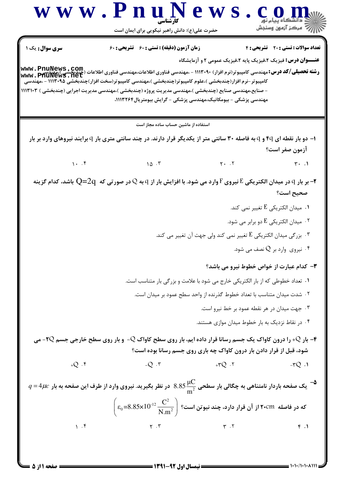ews.con www.PnuN است.<br>استان مرکز آزمون وسنڊش حضرت علی(ع): دانش راهبر نیکویی برای ایمان است سری سوال : یک ۱ **زمان آزمون (دقیقه) : تستی : 60 تشریحی: 60** تعداد سوالات : تستى : 20 - تشريحي : 4 **عنــوان درس:** فیزیک ۲،فیزیک پایه ۲،فیزیک عمومی ۲ و آزمایشگاه **رشته تحصیلی/کد درس:**مهندسی کامپیوتر(نرم افزار) ۱۱۱۳۰۹۰ - ،مهندسی فناوری اطلاعات،مهندسی فناوری اطلاعات (چندبخشی)،<br>www . PfiuNewS . net - صنایع،مهندسی صنایع (چندبخشی )،مهندسی مدیریت پروژه (چندبخشی )،مهندسی مدیریت اجرایی (چندبخشی ) ۱۱۱۳۱۰۳ مهندسی پزشکی – بیومکانیک،مهندسی پزشکی – گرایش بیومتر پال۱۱۳۲۶۴، استفاده از ماشین حساب ساده مجاز است ۱- دو بار نقطه ای ۴q و q به فاصله ۳۰ سانتی متر از یکدیگر قرار دارند. در چند سانتی متری بار q برایند نیروهای وارد بر بار آزمون صفر است؟  $1.7$  $\Lambda$   $\Lambda$   $\cdot$   $\tilde{r}$  $Y - Y$  $\mathbf{r}$ .  $\mathbf{r}$ بر بار q در میدان الکتریکی E نیروی F وارد می شود. با افزایش بار از q به Q در صورتی که  $\rm Q$ =2 باشد، کدام گزینه $\rm q$ صحيح است؟  $\cdot$ 0. ميدان الكتريكي  $\rm E$  تغيير نمي كند. ۰۲ میدان الکتریکی  $\mathrm{E}$  دو برابر می شود.  $^{\mathsf{r}}$ י. بزرگی میدان الکتریکی  $\mathrm{E}$  تغییر نمی کند ولی جهت آن تغییر می کند. " ۰۴ نیروی وارد بر  $Q$  نصف مے شود.  $\cdot$ ٣- كدام عبارت از خواص خطوط نيرو مي باشد؟ ١. تعداد خطوطي كه از بار الكتريكي خارج مي شود با علامت و بزر گي بار متناسب است. ۲ . شدت میدان متناسب با تعداد خطوط گذرنده از واحد سطح عمود بر میدان است. ۰۳ جهت میدان در هر نقطه عمود بر خط نیرو است. ۰۴ در نقاط نزدیک به بار خطوط میدان موازی هستند. - بار 4x را درون کاواک یک جسم رسانا قرار داده ایم، بار روی سطح کاواک Q- و بار روی سطح خارجی جسم 1Q- می $\cdot$ شود، قبل از قرار دادن بار درون کاواک چه باری روی جسم رسانا بوده است؟  $+O \cdot$  $-Q$   $\cdot$   $\cdot$  $+70.7$  $-\mathcal{r}Q$ .  $q$  =  $4\mu$ یک صفحه باردار نامتناهی به چگالی بار سطحی  $\frac{\mu\text{C}}{\text{m}^2}$  در نظر بگیرید. نیروی وارد از طرف این صفحه به بار  $q$  $\Bigg(\epsilon_0\hspace{-0.08cm}=\hspace{-0.08cm}8.85\hspace{-0.08cm}\times\hspace{-0.08cm}10^{12}\frac{C^2}{N\hspace{0.08cm}m^2}\Bigg)$  که در فاصله  $\hspace{-0.08cm}$ ۲۰<code>CM</code> که در فاصله  $1.5$  $Y \cdot Y$  $\mathbf{r}$ . $\mathbf{r}$  $f.$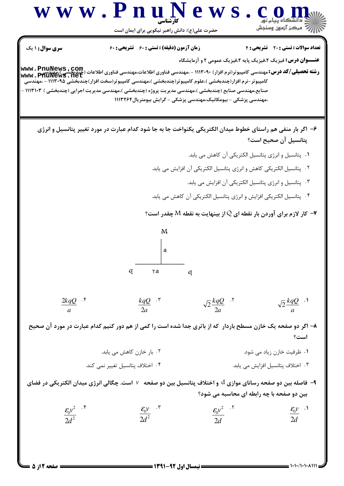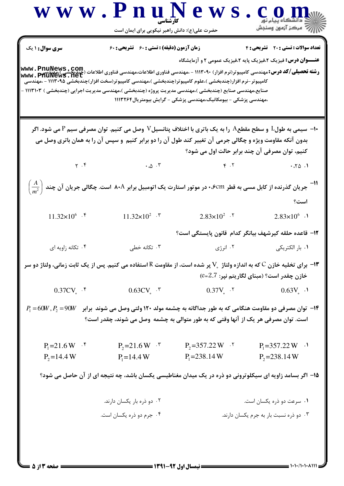|                                                                                                                                                                                                                                  | www.PnuNew<br>حضرت علی(ع): دانش راهبر نیکویی برای ایمان است                                                                                                                                                                                                                                                                                                           |                                                                 | أأآت مركز آزمون وسنجش                                                                                      |  |
|----------------------------------------------------------------------------------------------------------------------------------------------------------------------------------------------------------------------------------|-----------------------------------------------------------------------------------------------------------------------------------------------------------------------------------------------------------------------------------------------------------------------------------------------------------------------------------------------------------------------|-----------------------------------------------------------------|------------------------------------------------------------------------------------------------------------|--|
| <b>سری سوال : ۱ یک</b>                                                                                                                                                                                                           | زمان آزمون (دقیقه) : تستی : 60 تشریحی : 60                                                                                                                                                                                                                                                                                                                            |                                                                 | تعداد سوالات : تستي : 20 تشريحي : 4<br><b>عنـــوان درس:</b> فیزیک ۲،فیزیک پایه ۲،فیزیک عمومی ۲ و آزمایشگاه |  |
|                                                                                                                                                                                                                                  | <b>رشته تحصیلی/کد درس:</b> مهندسی کامپیوتر(نرم افزار) ۱۱۱۳۰۹۰ - ،مهندسی فناوری اطلاعات،مهندسی فناوری اطلاعات (چیدبخشی )<br>www . PfiuNewS . net<br>کامپیوتر-نرم افزار(چندبخشی )،علوم کامپیوتر(چندبخشی )،مهندسی کامپیوتر(سخت افزار)چندبخشی ۱۱۱۳۰۹۵ - ،مهندسی<br>صنایع،مهندسی صنایع (چندبخشی )،مهندسی مدیریت پروژه (چندبخشی )،مهندسی مدیریت اجرایی (چندبخشی ) ۱۱۱۳۱۰۳ – | ،مهندسی پزشکی - بیومکانیک،مهندسی پزشکی - گرایش بیومتریال۱۱۱۳۲۶۴ |                                                                                                            |  |
|                                                                                                                                                                                                                                  | ا- سیمی به طول $\rm L$ و سطح مقطع $\rm A$ را به یک باتری با اختلاف پتانسیل $\rm V$ وصل می کنیم. توان مصرفی سیم P می شود. اگر $\rm \cdot$<br>بدون آنکه مقاومت ویژه و چگالی جرمی آن تغییر کند طول آن را دو برابر کنیم و سپس آن را به همان باتری وصل می                                                                                                                  |                                                                 |                                                                                                            |  |
|                                                                                                                                                                                                                                  |                                                                                                                                                                                                                                                                                                                                                                       | کنیم، توان مصرفی آن چند برابر حالت اول می شود؟                  |                                                                                                            |  |
| $\gamma$ . $\gamma$                                                                                                                                                                                                              |                                                                                                                                                                                                                                                                                                                                                                       | $\cdot \omega \cdot r$ $r \cdot r$                              | .70.1                                                                                                      |  |
|                                                                                                                                                                                                                                  | $\left(\frac{A}{m^2}\right)$ جریان گذرنده از کابل مسی به قطر ۰٬۶ <code>cm</code> ۰۰ جریان گذرنده از کابل مسی به قطر ۰٬۶cm۰ بر ست. چگالی جریان آن چند                                                                                                                                                                                                                  |                                                                 | است؟                                                                                                       |  |
| $11.32 \times 10^{6}$ .                                                                                                                                                                                                          | $11.32 \times 10^{2}$ . $\degree$                                                                                                                                                                                                                                                                                                                                     | $2.83 \times 10^{2}$ . T                                        | $2.83 \times 10^6$ .                                                                                       |  |
|                                                                                                                                                                                                                                  | ۱۲− قاعده حلقه کیرشهف بیانگر کدام  قانون پایستگی است؟                                                                                                                                                                                                                                                                                                                 |                                                                 |                                                                                                            |  |
| ۰۴ تکانه زاویه ای                                                                                                                                                                                                                | ۰۳ تکانه خطی                                                                                                                                                                                                                                                                                                                                                          | ۰۲ انرژی                                                        | ۰۱ بار الکتریکی                                                                                            |  |
| ا— برای تخلیه خازن C که به اندازه ولتاژ $\rm V_s$ پر شده است، از مقاومت R استفاده می کنیم. پس از یک ثابت زمانی، ولتاژ دو سر $\bullet$<br>خازن چقدر است؟ (مبنای لگاریتم نیر: 2.7=©)                                               |                                                                                                                                                                                                                                                                                                                                                                       |                                                                 |                                                                                                            |  |
| $0.37CVs$ .*                                                                                                                                                                                                                     | $0.63CVs$ . \"                                                                                                                                                                                                                                                                                                                                                        | $0.37V_{\rm s}$ . T                                             | $0.63V_{s}$ .                                                                                              |  |
| $P_{\rm l} = 60W, P_{\rm 2} = 90W$ توان مصرفی دو مقاومت هنگامی که به طور جداگانه به چشمه مولد ۱۲۰ ولتی وصل می شوند ۖ برابر $\,$ $\,$ $\,$<br>است. توان مصرفی هر یک از آنها وقتی که به طور متوالی به چشمه ًوصل می شوند، چقدر است؟ |                                                                                                                                                                                                                                                                                                                                                                       |                                                                 |                                                                                                            |  |
| $P_1 = 21.6 W$ . $\frac{1}{2}$                                                                                                                                                                                                   | $P_2 = 21.6 W$ .                                                                                                                                                                                                                                                                                                                                                      | $P_2 = 357.22 \text{ W}$ . <sup>1</sup>                         | $P_1 = 357.22 \text{ W}$ .                                                                                 |  |
| $P_2 = 14.4 W$                                                                                                                                                                                                                   | $P_1 = 14.4 W$                                                                                                                                                                                                                                                                                                                                                        | $P_1 = 238.14 W$                                                | $P_2 = 238.14 W$                                                                                           |  |
|                                                                                                                                                                                                                                  | ۱۵– اگر بسامد زاویه ای سیکلوترونی دو ذره در یک میدان مغناطیسی یکسان باشد، چه نتیجه ای از آن حاصل می شود؟                                                                                                                                                                                                                                                              |                                                                 |                                                                                                            |  |
|                                                                                                                                                                                                                                  | ۰۲ دو ذره بار یکسان دارند.                                                                                                                                                                                                                                                                                                                                            |                                                                 | ۰۱ سرعت دو ذره یکسان است.                                                                                  |  |
|                                                                                                                                                                                                                                  | ۰۴ جرم دو ذره یکسان است.                                                                                                                                                                                                                                                                                                                                              |                                                                 | ۰۳ دو ذره نسبت بار به جرم یکسان دارند.                                                                     |  |
|                                                                                                                                                                                                                                  |                                                                                                                                                                                                                                                                                                                                                                       |                                                                 |                                                                                                            |  |

 $\mathcal{L}^{\text{max}}$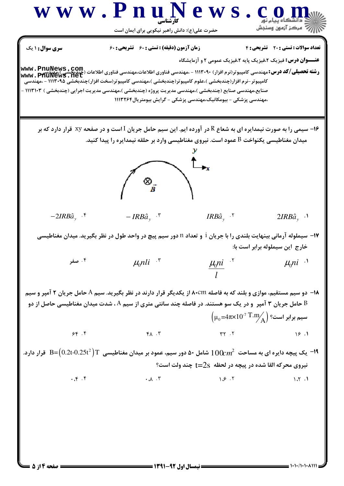D

 $= 1.1 - (1.1 - \lambda 1)$